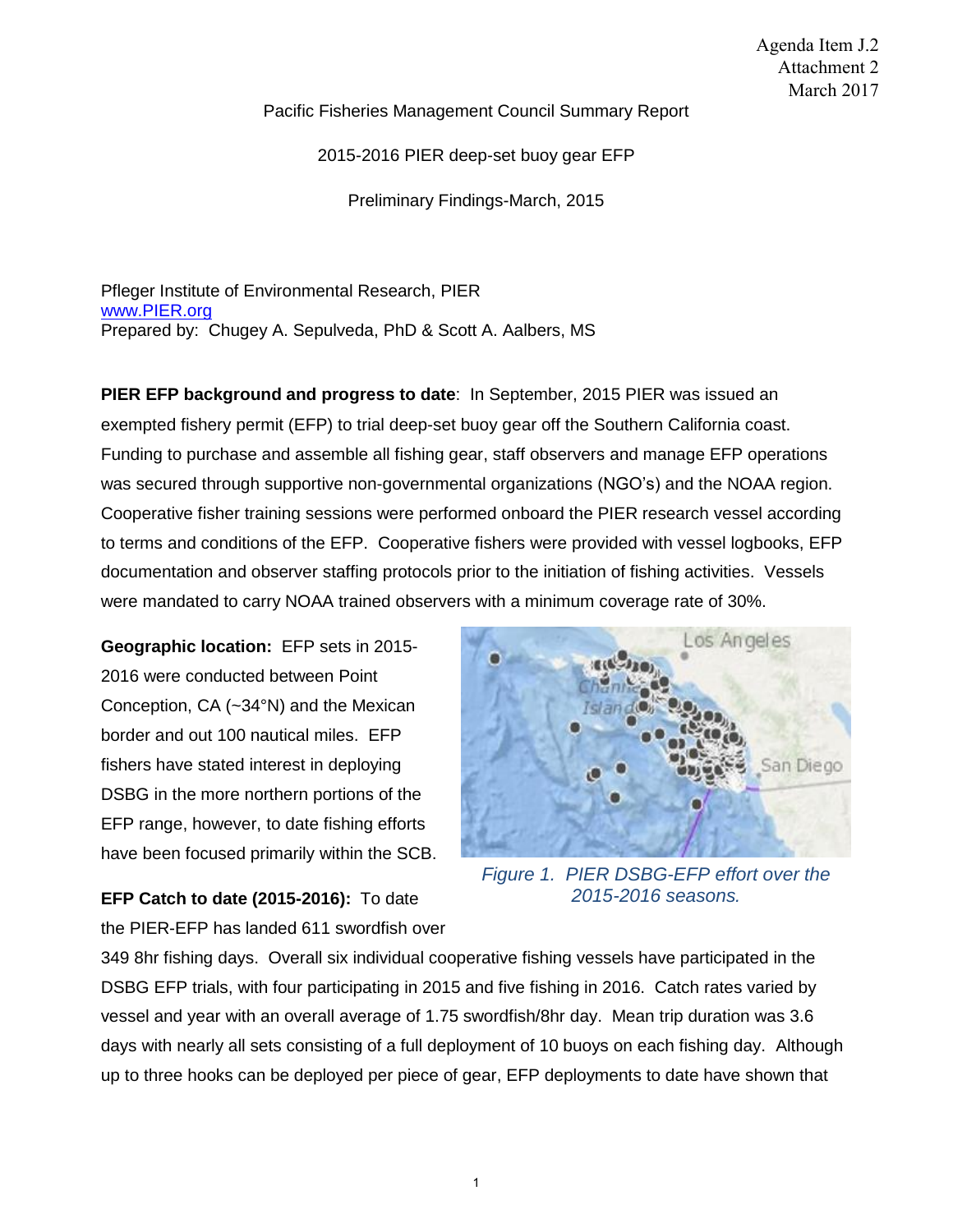Pacific Fisheries Management Council Summary Report

2015-2016 PIER deep-set buoy gear EFP

Preliminary Findings-March, 2015

Pfleger Institute of Environmental Research, PIER [www.PIER.org](http://www.pier.org/) Prepared by: Chugey A. Sepulveda, PhD & Scott A. Aalbers, MS

**PIER EFP background and progress to date**: In September, 2015 PIER was issued an exempted fishery permit (EFP) to trial deep-set buoy gear off the Southern California coast. Funding to purchase and assemble all fishing gear, staff observers and manage EFP operations was secured through supportive non-governmental organizations (NGO's) and the NOAA region. Cooperative fisher training sessions were performed onboard the PIER research vessel according to terms and conditions of the EFP. Cooperative fishers were provided with vessel logbooks, EFP documentation and observer staffing protocols prior to the initiation of fishing activities. Vessels were mandated to carry NOAA trained observers with a minimum coverage rate of 30%.

**Geographic location:** EFP sets in 2015- 2016 were conducted between Point Conception, CA (~34°N) and the Mexican border and out 100 nautical miles. EFP fishers have stated interest in deploying DSBG in the more northern portions of the EFP range, however, to date fishing efforts have been focused primarily within the SCB.



*Figure 1. PIER DSBG-EFP effort over the 2015-2016 seasons.*

**EFP Catch to date (2015-2016):** To date the PIER-EFP has landed 611 swordfish over

349 8hr fishing days. Overall six individual cooperative fishing vessels have participated in the DSBG EFP trials, with four participating in 2015 and five fishing in 2016. Catch rates varied by vessel and year with an overall average of 1.75 swordfish/8hr day. Mean trip duration was 3.6 days with nearly all sets consisting of a full deployment of 10 buoys on each fishing day. Although up to three hooks can be deployed per piece of gear, EFP deployments to date have shown that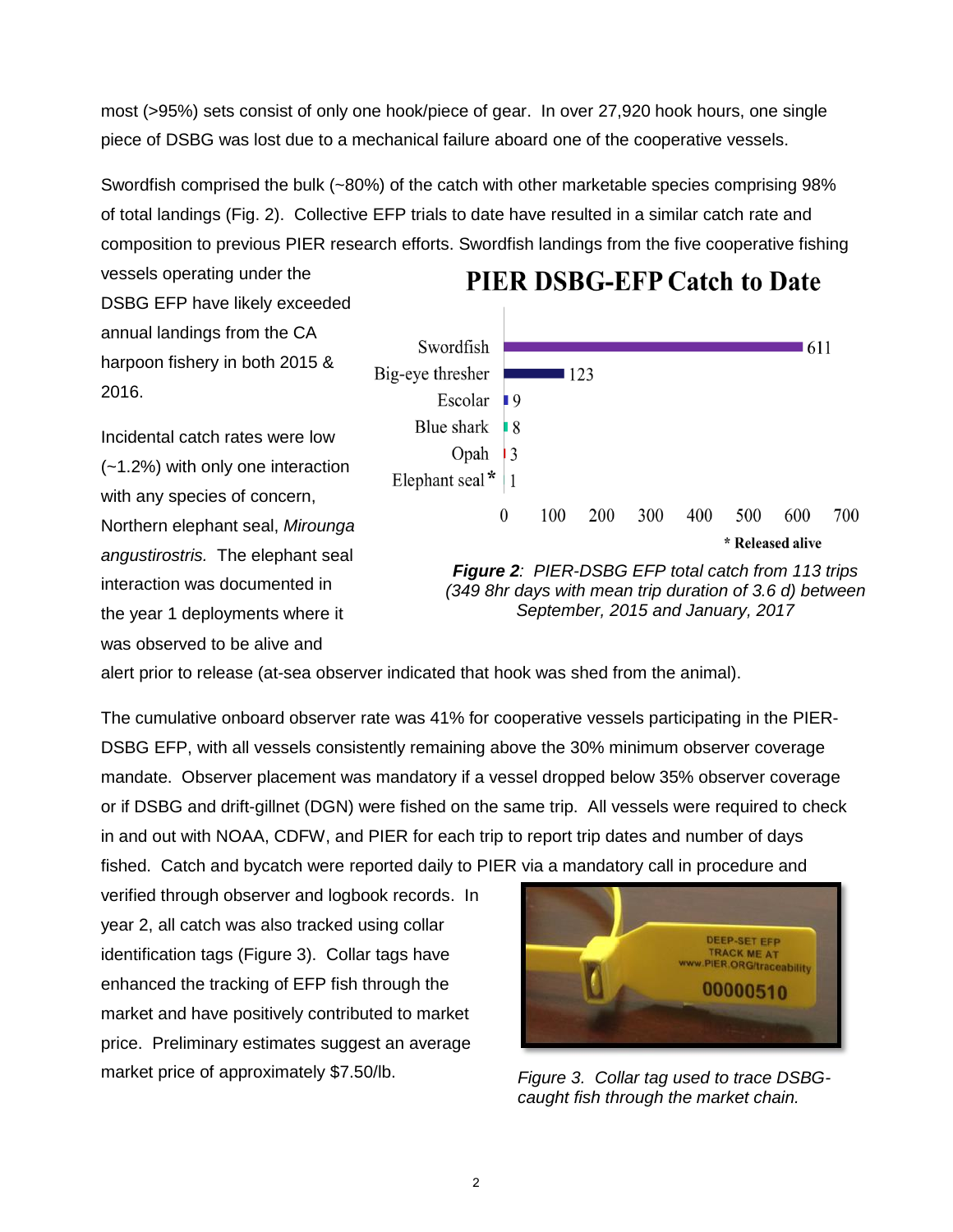most (>95%) sets consist of only one hook/piece of gear. In over 27,920 hook hours, one single piece of DSBG was lost due to a mechanical failure aboard one of the cooperative vessels.

Swordfish comprised the bulk (~80%) of the catch with other marketable species comprising 98% of total landings (Fig. 2). Collective EFP trials to date have resulted in a similar catch rate and composition to previous PIER research efforts. Swordfish landings from the five cooperative fishing

vessels operating under the DSBG EFP have likely exceeded annual landings from the CA harpoon fishery in both 2015 & 2016.

Incidental catch rates were low (~1.2%) with only one interaction with any species of concern, Northern elephant seal, *Mirounga angustirostris.* The elephant seal interaction was documented in the year 1 deployments where it was observed to be alive and



**PIER DSBG-EFP Catch to Date** 

*September, 2015 and January, 2017* 

alert prior to release (at-sea observer indicated that hook was shed from the animal).

The cumulative onboard observer rate was 41% for cooperative vessels participating in the PIER-DSBG EFP, with all vessels consistently remaining above the 30% minimum observer coverage mandate. Observer placement was mandatory if a vessel dropped below 35% observer coverage or if DSBG and drift-gillnet (DGN) were fished on the same trip. All vessels were required to check in and out with NOAA, CDFW, and PIER for each trip to report trip dates and number of days fished. Catch and bycatch were reported daily to PIER via a mandatory call in procedure and

verified through observer and logbook records. In year 2, all catch was also tracked using collar identification tags (Figure 3). Collar tags have enhanced the tracking of EFP fish through the market and have positively contributed to market price. Preliminary estimates suggest an average market price of approximately \$7.50/lb.



*Figure 3. Collar tag used to trace DSBGcaught fish through the market chain.*